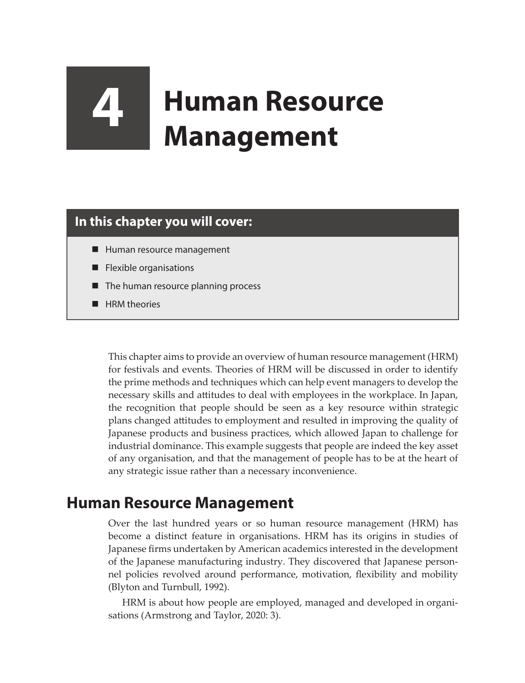# **4 Human Resource Management**

## **In this chapter you will cover:**

- Human resource management
- Flexible organisations
- The human resource planning process
- **HRM** theories

This chapter aims to provide an overview of human resource management (HRM) for festivals and events. Theories of HRM will be discussed in order to identify the prime methods and techniques which can help event managers to develop the necessary skills and attitudes to deal with employees in the workplace. In Japan, the recognition that people should be seen as a key resource within strategic plans changed attitudes to employment and resulted in improving the quality of Japanese products and business practices, which allowed Japan to challenge for industrial dominance. This example suggests that people are indeed the key asset of any organisation, and that the management of people has to be at the heart of any strategic issue rather than a necessary inconvenience.

## **Human Resource Management**

Over the last hundred years or so human resource management (HRM) has become a distinct feature in organisations. HRM has its origins in studies of Japanese firms undertaken by American academics interested in the development of the Japanese manufacturing industry. They discovered that Japanese personnel policies revolved around performance, motivation, flexibility and mobility (Blyton and Turnbull, 1992).

HRM is about how people are employed, managed and developed in organisations (Armstrong and Taylor, 2020: 3).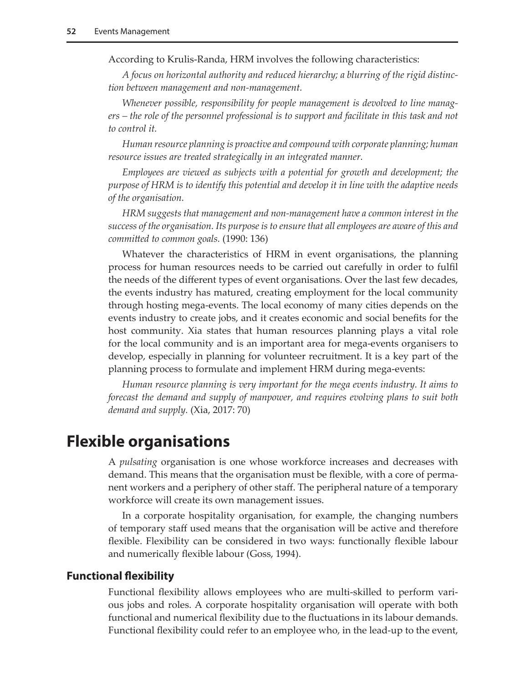According to Krulis-Randa, HRM involves the following characteristics:

*A focus on horizontal authority and reduced hierarchy; a blurring of the rigid distinction between management and non-management.*

*Whenever possible, responsibility for people management is devolved to line managers – the role of the personnel professional is to support and facilitate in this task and not to control it.*

*Human resource planning is proactive and compound with corporate planning; human resource issues are treated strategically in an integrated manner.*

*Employees are viewed as subjects with a potential for growth and development; the purpose of HRM is to identify this potential and develop it in line with the adaptive needs of the organisation.*

*HRM suggests that management and non-management have a common interest in the success of the organisation. Its purpose is to ensure that all employees are aware of this and committed to common goals.* (1990: 136)

Whatever the characteristics of HRM in event organisations, the planning process for human resources needs to be carried out carefully in order to fulfil the needs of the different types of event organisations. Over the last few decades, the events industry has matured, creating employment for the local community through hosting mega-events. The local economy of many cities depends on the events industry to create jobs, and it creates economic and social benefits for the host community. Xia states that human resources planning plays a vital role for the local community and is an important area for mega-events organisers to develop, especially in planning for volunteer recruitment. It is a key part of the planning process to formulate and implement HRM during mega-events:

*Human resource planning is very important for the mega events industry. It aims to forecast the demand and supply of manpower, and requires evolving plans to suit both demand and supply.* (Xia, 2017: 70)

## **Flexible organisations**

A *pulsating* organisation is one whose workforce increases and decreases with demand. This means that the organisation must be flexible, with a core of permanent workers and a periphery of other staff. The peripheral nature of a temporary workforce will create its own management issues.

In a corporate hospitality organisation, for example, the changing numbers of temporary staff used means that the organisation will be active and therefore flexible. Flexibility can be considered in two ways: functionally flexible labour and numerically flexible labour (Goss, 1994).

#### **Functional flexibility**

Functional flexibility allows employees who are multi-skilled to perform various jobs and roles. A corporate hospitality organisation will operate with both functional and numerical flexibility due to the fluctuations in its labour demands. Functional flexibility could refer to an employee who, in the lead-up to the event,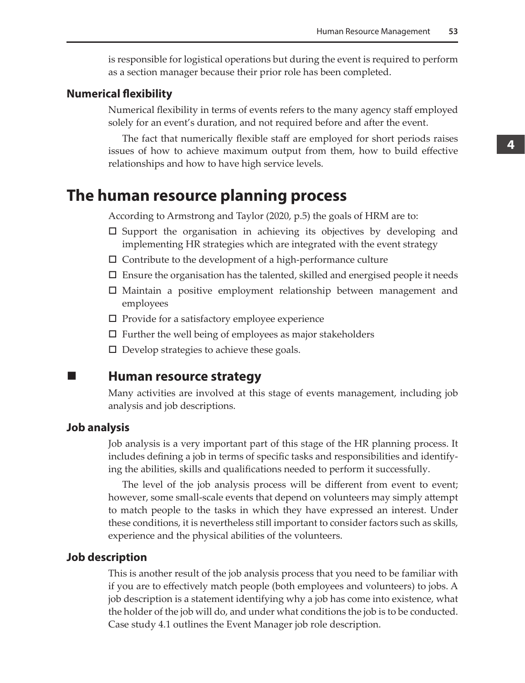is responsible for logistical operations but during the event is required to perform as a section manager because their prior role has been completed.

#### **Numerical flexibility**

Numerical flexibility in terms of events refers to the many agency staff employed solely for an event's duration, and not required before and after the event.

The fact that numerically flexible staff are employed for short periods raises issues of how to achieve maximum output from them, how to build effective relationships and how to have high service levels.

## **The human resource planning process**

According to Armstrong and Taylor (2020, p.5) the goals of HRM are to:

- $\square$  Support the organisation in achieving its objectives by developing and implementing HR strategies which are integrated with the event strategy
- $\square$  Contribute to the development of a high-performance culture
- $\Box$  Ensure the organisation has the talented, skilled and energised people it needs
- Maintain a positive employment relationship between management and employees
- $\square$  Provide for a satisfactory employee experience
- $\Box$  Further the well being of employees as major stakeholders
- $\square$  Develop strategies to achieve these goals.
- 

## **Human resource strategy**

Many activities are involved at this stage of events management, including job analysis and job descriptions.

#### **Job analysis**

Job analysis is a very important part of this stage of the HR planning process. It includes defining a job in terms of specific tasks and responsibilities and identifying the abilities, skills and qualifications needed to perform it successfully.

The level of the job analysis process will be different from event to event; however, some small-scale events that depend on volunteers may simply attempt to match people to the tasks in which they have expressed an interest. Under these conditions, it is nevertheless still important to consider factors such as skills, experience and the physical abilities of the volunteers.

#### **Job description**

This is another result of the job analysis process that you need to be familiar with if you are to effectively match people (both employees and volunteers) to jobs. A job description is a statement identifying why a job has come into existence, what the holder of the job will do, and under what conditions the job is to be conducted. Case study 4.1 outlines the Event Manager job role description.